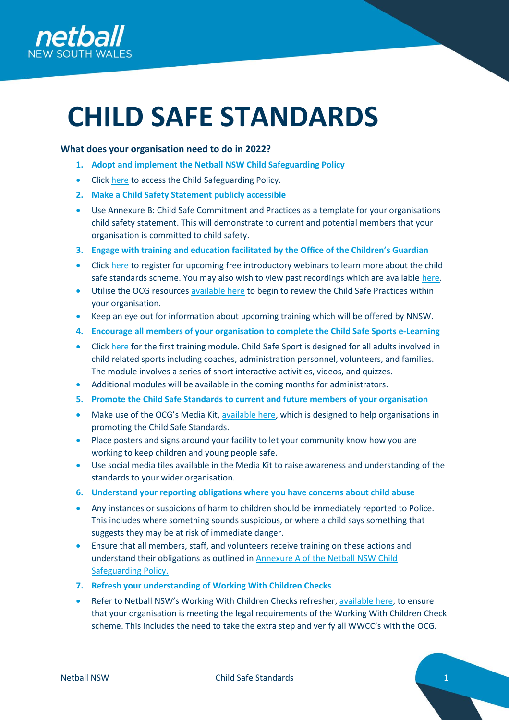

# **CHILD SAFE STANDARDS**

# **What does your organisation need to do in 2022?**

- **1. Adopt and implement the Netball NSW Child Safeguarding Policy**
- Click [here](https://nsw.netball.com.au/sites/nsw/files/2022-03/Netball%20NSW%20ChildSafeguarding%20Policy%20V1.pdf) to access the Child Safeguarding Policy.
- **2. Make a Child Safety Statement publicly accessible**
- Use Annexure B: Child Safe Commitment and Practices as a template for your organisations child safety statement. This will demonstrate to current and potential members that your organisation is committed to child safety.
- **3. Engage with training and education facilitated by the Office of the Children's Guardian**
- Click [here](https://ocg.nsw.gov.au/events) to register for upcoming free introductory webinars to learn more about the child safe standards scheme. You may also wish to view past recordings which are available [here.](https://register.gotowebinar.com/recording/5675713529622373383)
- Utilise the OCG resource[s available here](https://ocg.nsw.gov.au/resources) to begin to review the Child Safe Practices within your organisation.
- Keep an eye out for information about upcoming training which will be offered by NNSW.
- **4. Encourage all members of your organisation to complete the Child Safe Sports e-Learning**
- Click [here](https://ocg.nsw.gov.au/training-and-resources/elearning) for the first training module. Child Safe Sport is designed for all adults involved in child related sports including coaches, administration personnel, volunteers, and families. The module involves a series of short interactive activities, videos, and quizzes.
- Additional modules will be available in the coming months for administrators.
- **5. Promote the Child Safe Standards to current and future members of your organisation**
- Make use of the OCG's Media Kit, [available here,](https://ocg.nsw.gov.au/child-safe-scheme/child-safe-standards-media-kit) which is designed to help organisations in promoting the Child Safe Standards.
- Place posters and signs around your facility to let your community know how you are working to keep children and young people safe.
- Use social media tiles available in the Media Kit to raise awareness and understanding of the standards to your wider organisation.
- **6. Understand your reporting obligations where you have concerns about child abuse**
- Any instances or suspicions of harm to children should be immediately reported to Police. This includes where something sounds suspicious, or where a child says something that suggests they may be at risk of immediate danger.
- Ensure that all members, staff, and volunteers receive training on these actions and understand their obligations as outlined in [Annexure A of the Netball NSW Child](https://nsw.netball.com.au/sites/nsw/files/2022-03/Netball%20NSW%20ChildSafeguarding%20Policy%20V1.pdf)  [Safeguarding Policy.](https://nsw.netball.com.au/sites/nsw/files/2022-03/Netball%20NSW%20ChildSafeguarding%20Policy%20V1.pdf)
- **7. Refresh your understanding of Working With Children Checks**
- Refer to Netball NSW's Working With Children Checks refresher, [available here,](file:///C:/Users/lsayers/Desktop/Refresher%20-%20Working%20With%20Children%20Check.pdf) to ensure that your organisation is meeting the legal requirements of the Working With Children Check scheme. This includes the need to take the extra step and verify all WWCC's with the OCG.



Netball NSW **Child Safe Standards** 1